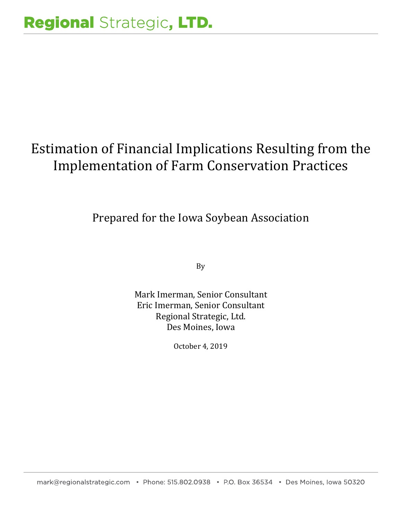# Estimation of Financial Implications Resulting from the Implementation of Farm Conservation Practices

Prepared for the Iowa Soybean Association

By

Mark Imerman, Senior Consultant Eric Imerman, Senior Consultant Regional Strategic, Ltd. Des Moines, Iowa

October 4, 2019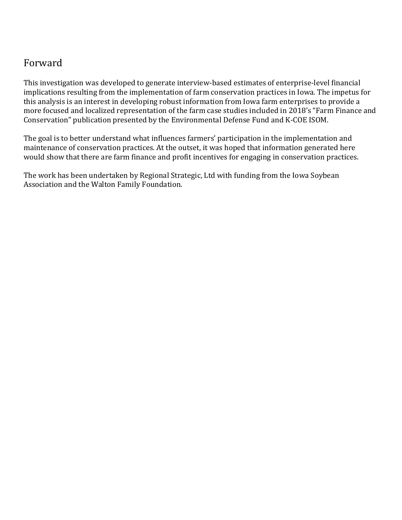# Forward

This investigation was developed to generate interview-based estimates of enterprise-level financial implications resulting from the implementation of farm conservation practices in Iowa. The impetus for this analysis is an interest in developing robust information from Iowa farm enterprises to provide a more focused and localized representation of the farm case studies included in 2018's "Farm Finance and Conservation" publication presented by the Environmental Defense Fund and K-COE ISOM.

The goal is to better understand what influences farmers' participation in the implementation and maintenance of conservation practices. At the outset, it was hoped that information generated here would show that there are farm finance and profit incentives for engaging in conservation practices.

The work has been undertaken by Regional Strategic, Ltd with funding from the Iowa Soybean Association and the Walton Family Foundation.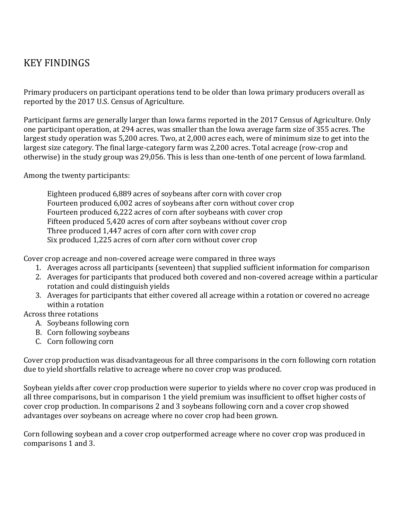# KEY FINDINGS

Primary producers on participant operations tend to be older than Iowa primary producers overall as reported by the 2017 U.S. Census of Agriculture.

Participant farms are generally larger than Iowa farms reported in the 2017 Census of Agriculture. Only one participant operation, at 294 acres, was smaller than the Iowa average farm size of 355 acres. The largest study operation was 5,200 acres. Two, at 2,000 acres each, were of minimum size to get into the largest size category. The final large-category farm was 2,200 acres. Total acreage (row-crop and otherwise) in the study group was 29,056. This is less than one-tenth of one percent of Iowa farmland.

Among the twenty participants:

Eighteen produced 6,889 acres of soybeans after corn with cover crop Fourteen produced 6,002 acres of soybeans after corn without cover crop Fourteen produced 6,222 acres of corn after soybeans with cover crop Fifteen produced 5,420 acres of corn after soybeans without cover crop Three produced 1,447 acres of corn after corn with cover crop Six produced 1,225 acres of corn after corn without cover crop

Cover crop acreage and non-covered acreage were compared in three ways

- 1. Averages across all participants (seventeen) that supplied sufficient information for comparison
- 2. Averages for participants that produced both covered and non-covered acreage within a particular rotation and could distinguish yields
- 3. Averages for participants that either covered all acreage within a rotation or covered no acreage within a rotation

#### Across three rotations

- A. Soybeans following corn
- B. Corn following soybeans
- C. Corn following corn

Cover crop production was disadvantageous for all three comparisons in the corn following corn rotation due to yield shortfalls relative to acreage where no cover crop was produced.

Soybean yields after cover crop production were superior to yields where no cover crop was produced in all three comparisons, but in comparison 1 the yield premium was insufficient to offset higher costs of cover crop production. In comparisons 2 and 3 soybeans following corn and a cover crop showed advantages over soybeans on acreage where no cover crop had been grown.

Corn following soybean and a cover crop outperformed acreage where no cover crop was produced in comparisons 1 and 3.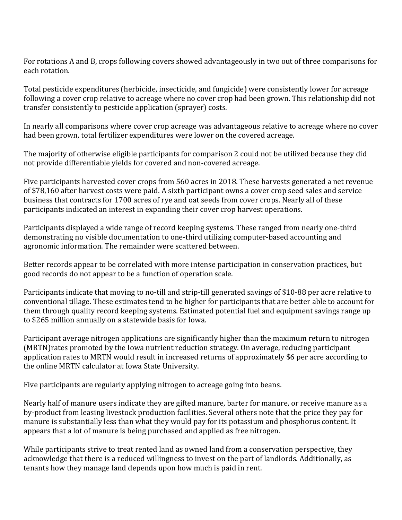For rotations A and B, crops following covers showed advantageously in two out of three comparisons for each rotation.

Total pesticide expenditures (herbicide, insecticide, and fungicide) were consistently lower for acreage following a cover crop relative to acreage where no cover crop had been grown. This relationship did not transfer consistently to pesticide application (sprayer) costs.

In nearly all comparisons where cover crop acreage was advantageous relative to acreage where no cover had been grown, total fertilizer expenditures were lower on the covered acreage.

The majority of otherwise eligible participants for comparison 2 could not be utilized because they did not provide differentiable yields for covered and non-covered acreage.

Five participants harvested cover crops from 560 acres in 2018. These harvests generated a net revenue of \$78,160 after harvest costs were paid. A sixth participant owns a cover crop seed sales and service business that contracts for 1700 acres of rye and oat seeds from cover crops. Nearly all of these participants indicated an interest in expanding their cover crop harvest operations.

Participants displayed a wide range of record keeping systems. These ranged from nearly one-third demonstrating no visible documentation to one-third utilizing computer-based accounting and agronomic information. The remainder were scattered between.

Better records appear to be correlated with more intense participation in conservation practices, but good records do not appear to be a function of operation scale.

Participants indicate that moving to no-till and strip-till generated savings of \$10-88 per acre relative to conventional tillage. These estimates tend to be higher for participants that are better able to account for them through quality record keeping systems. Estimated potential fuel and equipment savings range up to \$265 million annually on a statewide basis for Iowa.

Participant average nitrogen applications are significantly higher than the maximum return to nitrogen (MRTN)rates promoted by the Iowa nutrient reduction strategy. On average, reducing participant application rates to MRTN would result in increased returns of approximately \$6 per acre according to the online MRTN calculator at Iowa State University.

Five participants are regularly applying nitrogen to acreage going into beans.

Nearly half of manure users indicate they are gifted manure, barter for manure, or receive manure as a by-product from leasing livestock production facilities. Several others note that the price they pay for manure is substantially less than what they would pay for its potassium and phosphorus content. It appears that a lot of manure is being purchased and applied as free nitrogen.

While participants strive to treat rented land as owned land from a conservation perspective, they acknowledge that there is a reduced willingness to invest on the part of landlords. Additionally, as tenants how they manage land depends upon how much is paid in rent.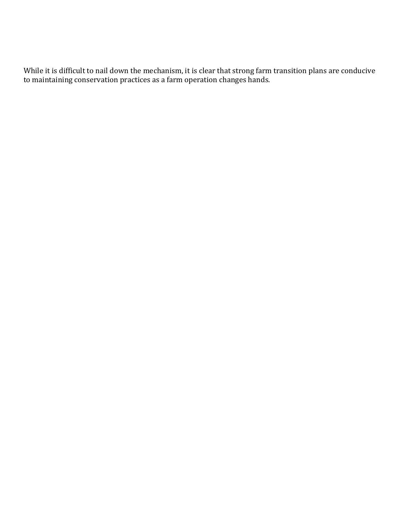While it is difficult to nail down the mechanism, it is clear that strong farm transition plans are conducive to maintaining conservation practices as a farm operation changes hands.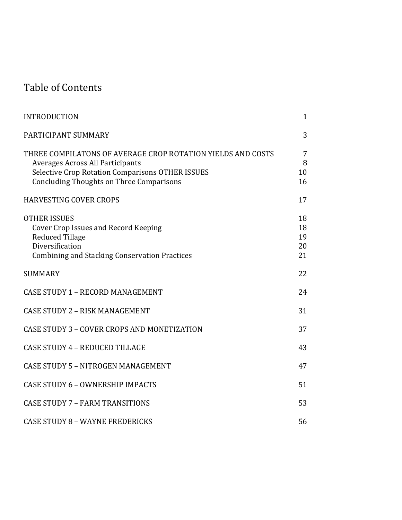# Table of Contents

| <b>INTRODUCTION</b>                                                                                                                                                                                                  | $\mathbf{1}$               |
|----------------------------------------------------------------------------------------------------------------------------------------------------------------------------------------------------------------------|----------------------------|
| PARTICIPANT SUMMARY                                                                                                                                                                                                  | 3                          |
| THREE COMPILATONS OF AVERAGE CROP ROTATION YIELDS AND COSTS<br><b>Averages Across All Participants</b><br><b>Selective Crop Rotation Comparisons OTHER ISSUES</b><br><b>Concluding Thoughts on Three Comparisons</b> | 7<br>8<br>10<br>16         |
| <b>HARVESTING COVER CROPS</b>                                                                                                                                                                                        | 17                         |
| <b>OTHER ISSUES</b><br><b>Cover Crop Issues and Record Keeping</b><br><b>Reduced Tillage</b><br>Diversification<br><b>Combining and Stacking Conservation Practices</b>                                              | 18<br>18<br>19<br>20<br>21 |
| <b>SUMMARY</b>                                                                                                                                                                                                       | 22                         |
| <b>CASE STUDY 1 - RECORD MANAGEMENT</b>                                                                                                                                                                              | 24                         |
| <b>CASE STUDY 2 - RISK MANAGEMENT</b>                                                                                                                                                                                | 31                         |
| CASE STUDY 3 - COVER CROPS AND MONETIZATION                                                                                                                                                                          | 37                         |
| <b>CASE STUDY 4 - REDUCED TILLAGE</b>                                                                                                                                                                                | 43                         |
| CASE STUDY 5 - NITROGEN MANAGEMENT                                                                                                                                                                                   | 47                         |
| CASE STUDY 6 - OWNERSHIP IMPACTS                                                                                                                                                                                     | 51                         |
| <b>CASE STUDY 7 - FARM TRANSITIONS</b>                                                                                                                                                                               | 53                         |
| <b>CASE STUDY 8 - WAYNE FREDERICKS</b>                                                                                                                                                                               | 56                         |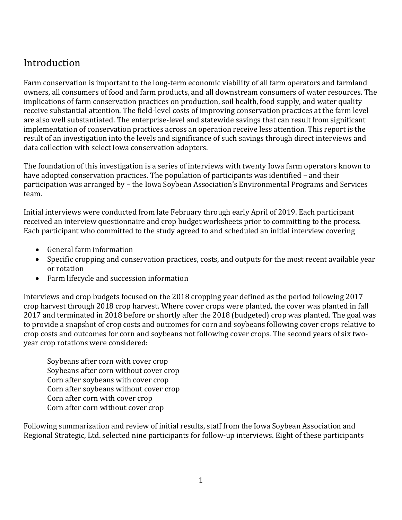# Introduction

Farm conservation is important to the long-term economic viability of all farm operators and farmland owners, all consumers of food and farm products, and all downstream consumers of water resources. The implications of farm conservation practices on production, soil health, food supply, and water quality receive substantial attention. The field-level costs of improving conservation practices at the farm level are also well substantiated. The enterprise-level and statewide savings that can result from significant implementation of conservation practices across an operation receive less attention. This report is the result of an investigation into the levels and significance of such savings through direct interviews and data collection with select Iowa conservation adopters.

The foundation of this investigation is a series of interviews with twenty Iowa farm operators known to have adopted conservation practices. The population of participants was identified – and their participation was arranged by – the Iowa Soybean Association's Environmental Programs and Services team.

Initial interviews were conducted from late February through early April of 2019. Each participant received an interview questionnaire and crop budget worksheets prior to committing to the process. Each participant who committed to the study agreed to and scheduled an initial interview covering

- General farm information
- Specific cropping and conservation practices, costs, and outputs for the most recent available year or rotation
- Farm lifecycle and succession information

Interviews and crop budgets focused on the 2018 cropping year defined as the period following 2017 crop harvest through 2018 crop harvest. Where cover crops were planted, the cover was planted in fall 2017 and terminated in 2018 before or shortly after the 2018 (budgeted) crop was planted. The goal was to provide a snapshot of crop costs and outcomes for corn and soybeans following cover crops relative to crop costs and outcomes for corn and soybeans not following cover crops. The second years of six twoyear crop rotations were considered:

Soybeans after corn with cover crop Soybeans after corn without cover crop Corn after soybeans with cover crop Corn after soybeans without cover crop Corn after corn with cover crop Corn after corn without cover crop

Following summarization and review of initial results, staff from the Iowa Soybean Association and Regional Strategic, Ltd. selected nine participants for follow-up interviews. Eight of these participants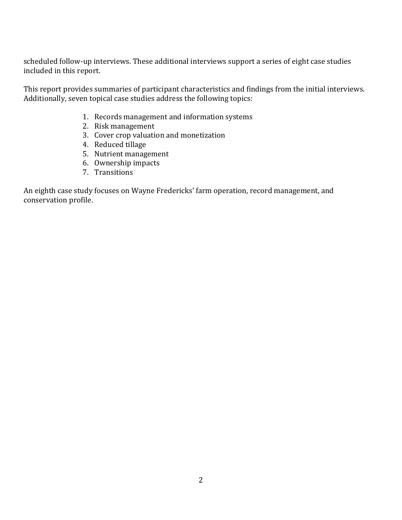scheduled follow-up interviews. These additional interviews support a series of eight case studies included in this report.

This report provides summaries of participant characteristics and findings from the initial interviews. Additionally, seven topical case studies address the following topics:

- 1. Records management and information systems
- 2. Risk management
- 3. Cover crop valuation and monetization
- 4. Reduced tillage
- 5. Nutrient management
- 6. Ownership impacts
- 7. Transitions

An eighth case study focuses on Wayne Fredericks' farm operation, record management, and conservation profile.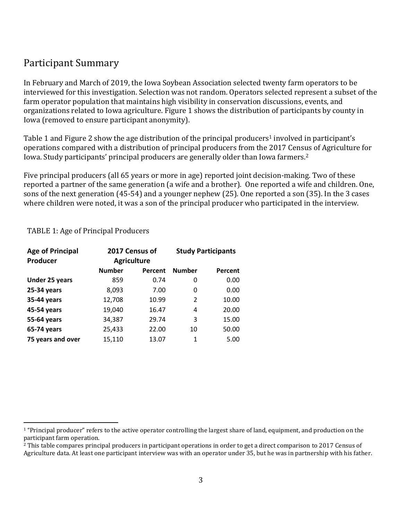### Participant Summary

In February and March of 2019, the Iowa Soybean Association selected twenty farm operators to be interviewed for this investigation. Selection was not random. Operators selected represent a subset of the farm operator population that maintains high visibility in conservation discussions, events, and organizations related to Iowa agriculture. Figure 1 shows the distribution of participants by county in Iowa (removed to ensure participant anonymity).

Table 1 and Figure 2 show the age distribution of the principal producers<sup>1</sup> involved in participant's operations compared with a distribution of principal producers from the 2017 Census of Agriculture for Iowa. Study participants' principal producers are generally older than Iowa farmers.<sup>2</sup>

Five principal producers (all 65 years or more in age) reported joint decision-making. Two of these reported a partner of the same generation (a wife and a brother). One reported a wife and children. One, sons of the next generation (45-54) and a younger nephew (25). One reported a son (35). In the 3 cases where children were noted, it was a son of the principal producer who participated in the interview.

| <b>Age of Principal</b><br>Producer | 2017 Census of<br><b>Agriculture</b> |         |               | <b>Study Participants</b> |
|-------------------------------------|--------------------------------------|---------|---------------|---------------------------|
|                                     | <b>Number</b>                        | Percent | <b>Number</b> | Percent                   |
| <b>Under 25 years</b>               | 859                                  | 0.74    | 0             | 0.00                      |
| 25-34 years                         | 8,093                                | 7.00    | 0             | 0.00                      |
| 35-44 years                         | 12,708                               | 10.99   | 2             | 10.00                     |
| 45-54 years                         | 19,040                               | 16.47   | 4             | 20.00                     |
| 55-64 years                         | 34,387                               | 29.74   | 3             | 15.00                     |
| 65-74 years                         | 25,433                               | 22.00   | 10            | 50.00                     |
| 75 years and over                   | 15,110                               | 13.07   | 1             | 5.00                      |

TABLE 1: Age of Principal Producers

<sup>&</sup>lt;sup>1</sup> "Principal producer" refers to the active operator controlling the largest share of land, equipment, and production on the participant farm operation.

<sup>&</sup>lt;sup>2</sup> This table compares principal producers in participant operations in order to get a direct comparison to 2017 Census of Agriculture data. At least one participant interview was with an operator under 35, but he was in partnership with his father.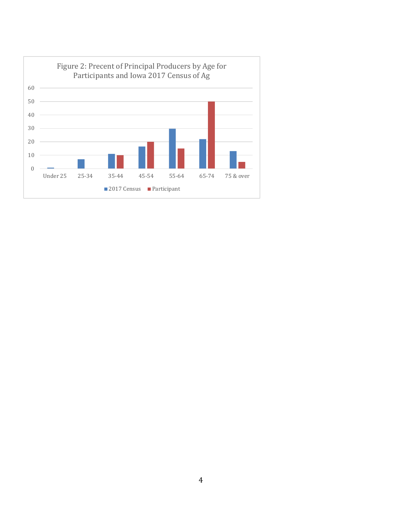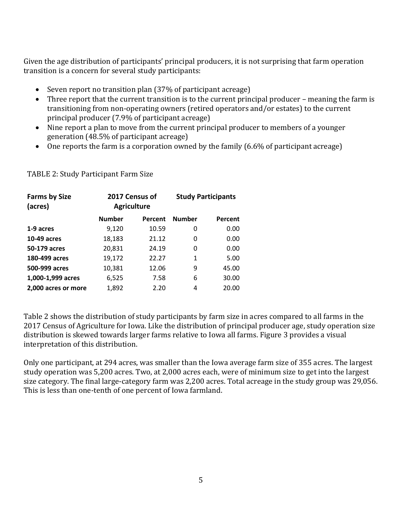Given the age distribution of participants' principal producers, it is not surprising that farm operation transition is a concern for several study participants:

- Seven report no transition plan (37% of participant acreage)
- Three report that the current transition is to the current principal producer meaning the farm is transitioning from non-operating owners (retired operators and/or estates) to the current principal producer (7.9% of participant acreage)
- Nine report a plan to move from the current principal producer to members of a younger generation (48.5% of participant acreage)
- One reports the farm is a corporation owned by the family (6.6% of participant acreage)

| <b>Farms by Size</b><br>(acres) | 2017 Census of<br><b>Agriculture</b> |         | <b>Study Participants</b> |         |  |
|---------------------------------|--------------------------------------|---------|---------------------------|---------|--|
|                                 | <b>Number</b>                        | Percent | <b>Number</b>             | Percent |  |
| 1-9 acres                       | 9,120                                | 10.59   | 0                         | 0.00    |  |
| 10-49 acres                     | 18,183                               | 21.12   | 0                         | 0.00    |  |
| 50-179 acres                    | 20,831                               | 24.19   | 0                         | 0.00    |  |
| 180-499 acres                   | 19,172                               | 22.27   | 1                         | 5.00    |  |
| 500-999 acres                   | 10,381                               | 12.06   | 9                         | 45.00   |  |
| 1,000-1,999 acres               | 6,525                                | 7.58    | 6                         | 30.00   |  |
| 2,000 acres or more             | 1,892                                | 2.20    | 4                         | 20.00   |  |

#### TABLE 2: Study Participant Farm Size

Table 2 shows the distribution of study participants by farm size in acres compared to all farms in the 2017 Census of Agriculture for Iowa. Like the distribution of principal producer age, study operation size distribution is skewed towards larger farms relative to Iowa all farms. Figure 3 provides a visual interpretation of this distribution.

Only one participant, at 294 acres, was smaller than the Iowa average farm size of 355 acres. The largest study operation was 5,200 acres. Two, at 2,000 acres each, were of minimum size to get into the largest size category. The final large-category farm was 2,200 acres. Total acreage in the study group was 29,056. This is less than one-tenth of one percent of Iowa farmland.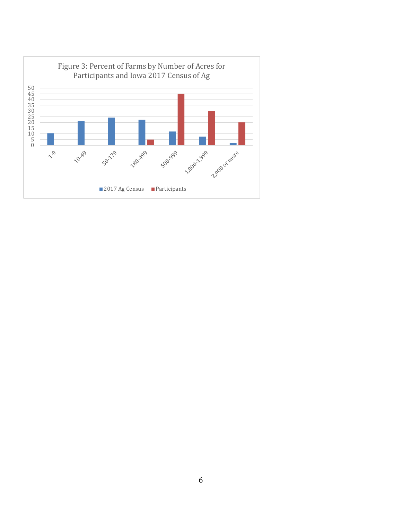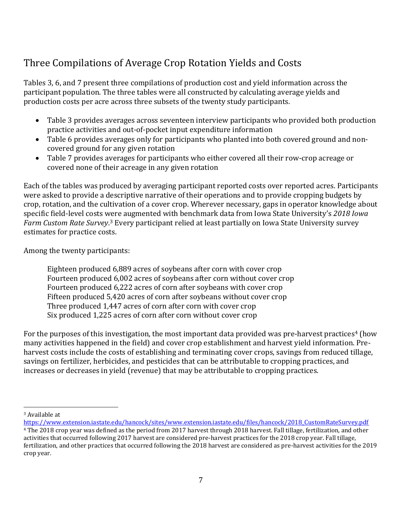# Three Compilations of Average Crop Rotation Yields and Costs

Tables 3, 6, and 7 present three compilations of production cost and yield information across the participant population. The three tables were all constructed by calculating average yields and production costs per acre across three subsets of the twenty study participants.

- Table 3 provides averages across seventeen interview participants who provided both production practice activities and out-of-pocket input expenditure information
- Table 6 provides averages only for participants who planted into both covered ground and noncovered ground for any given rotation
- Table 7 provides averages for participants who either covered all their row-crop acreage or covered none of their acreage in any given rotation

Each of the tables was produced by averaging participant reported costs over reported acres. Participants were asked to provide a descriptive narrative of their operations and to provide cropping budgets by crop, rotation, and the cultivation of a cover crop. Wherever necessary, gaps in operator knowledge about specific field-level costs were augmented with benchmark data from Iowa State University's *2018 Iowa Farm Custom Rate Survey*. <sup>3</sup> Every participant relied at least partially on Iowa State University survey estimates for practice costs.

Among the twenty participants:

Eighteen produced 6,889 acres of soybeans after corn with cover crop Fourteen produced 6,002 acres of soybeans after corn without cover crop Fourteen produced 6,222 acres of corn after soybeans with cover crop Fifteen produced 5,420 acres of corn after soybeans without cover crop Three produced 1,447 acres of corn after corn with cover crop Six produced 1,225 acres of corn after corn without cover crop

For the purposes of this investigation, the most important data provided was pre-harvest practices<sup>4</sup> (how many activities happened in the field) and cover crop establishment and harvest yield information. Preharvest costs include the costs of establishing and terminating cover crops, savings from reduced tillage, savings on fertilizer, herbicides, and pesticides that can be attributable to cropping practices, and increases or decreases in yield (revenue) that may be attributable to cropping practices.

<sup>3</sup> Available at

[https://www.extension.iastate.edu/hancock/sites/www.extension.iastate.edu/files/hancock/2018\\_CustomRateSurvey.pdf](https://www.extension.iastate.edu/hancock/sites/www.extension.iastate.edu/files/hancock/2018_CustomRateSurvey.pdf) <sup>4</sup> The 2018 crop year was defined as the period from 2017 harvest through 2018 harvest. Fall tillage, fertilization, and other activities that occurred following 2017 harvest are considered pre-harvest practices for the 2018 crop year. Fall tillage, fertilization, and other practices that occurred following the 2018 harvest are considered as pre-harvest activities for the 2019 crop year.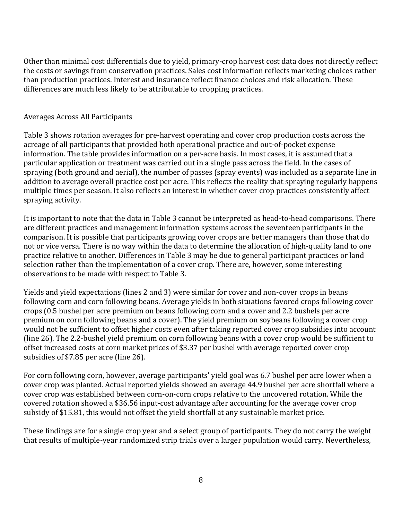Other than minimal cost differentials due to yield, primary-crop harvest cost data does not directly reflect the costs or savings from conservation practices. Sales cost information reflects marketing choices rather than production practices. Interest and insurance reflect finance choices and risk allocation. These differences are much less likely to be attributable to cropping practices.

#### Averages Across All Participants

Table 3 shows rotation averages for pre-harvest operating and cover crop production costs across the acreage of all participants that provided both operational practice and out-of-pocket expense information. The table provides information on a per-acre basis. In most cases, it is assumed that a particular application or treatment was carried out in a single pass across the field. In the cases of spraying (both ground and aerial), the number of passes (spray events) was included as a separate line in addition to average overall practice cost per acre. This reflects the reality that spraying regularly happens multiple times per season. It also reflects an interest in whether cover crop practices consistently affect spraying activity.

It is important to note that the data in Table 3 cannot be interpreted as head-to-head comparisons. There are different practices and management information systems across the seventeen participants in the comparison. It is possible that participants growing cover crops are better managers than those that do not or vice versa. There is no way within the data to determine the allocation of high-quality land to one practice relative to another. Differences in Table 3 may be due to general participant practices or land selection rather than the implementation of a cover crop. There are, however, some interesting observations to be made with respect to Table 3.

Yields and yield expectations (lines 2 and 3) were similar for cover and non-cover crops in beans following corn and corn following beans. Average yields in both situations favored crops following cover crops (0.5 bushel per acre premium on beans following corn and a cover and 2.2 bushels per acre premium on corn following beans and a cover). The yield premium on soybeans following a cover crop would not be sufficient to offset higher costs even after taking reported cover crop subsidies into account (line 26). The 2.2-bushel yield premium on corn following beans with a cover crop would be sufficient to offset increased costs at corn market prices of \$3.37 per bushel with average reported cover crop subsidies of \$7.85 per acre (line 26).

For corn following corn, however, average participants' yield goal was 6.7 bushel per acre lower when a cover crop was planted. Actual reported yields showed an average 44.9 bushel per acre shortfall where a cover crop was established between corn-on-corn crops relative to the uncovered rotation. While the covered rotation showed a \$36.56 input-cost advantage after accounting for the average cover crop subsidy of \$15.81, this would not offset the yield shortfall at any sustainable market price.

These findings are for a single crop year and a select group of participants. They do not carry the weight that results of multiple-year randomized strip trials over a larger population would carry. Nevertheless,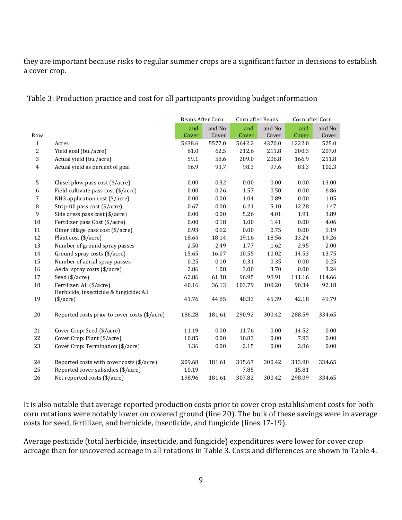they are important because risks to regular summer crops are a significant factor in decisions to establish a cover crop.

Table 3: Production practice and cost for all participants providing budget information

|                |                                                                      | Beans After Corn |        | Corn after Beans |        | Corn after Corn |        |
|----------------|----------------------------------------------------------------------|------------------|--------|------------------|--------|-----------------|--------|
|                |                                                                      | and              | and No | and              | and No | and             | and No |
| Row            |                                                                      | Cover            | Cover  | Cover            | Cover  | Cover           | Cover  |
| $\mathbf{1}$   | Acres                                                                | 5638.6           | 5577.0 | 5642.2           | 4370.0 | 1222.0          | 525.0  |
| 2              | Yield goal (bu./acre)                                                | 61.0             | 62.5   | 212.6            | 211.8  | 200.3           | 207.0  |
| 3              | Actual yield (bu./acre)                                              | 59.1             | 58.6   | 209.0            | 206.8  | 166.9           | 211.8  |
| $\overline{4}$ | Actual yield as percent of goal                                      | 96.9             | 93.7   | 98.3             | 97.6   | 83.3            | 102.3  |
| 5              | Chisel plow pass cost (\$/acre)                                      | 0.00             | 0.32   | 0.00             | 0.00   | 0.00            | 13.00  |
| 6              | Field cultivate pass cost (\$/acre)                                  | 0.00             | 0.26   | 1.57             | 0.50   | 0.00            | 6.86   |
| $\overline{7}$ | NH3 application cost (\$/acre)                                       | 0.00             | 0.00   | 1.04             | 0.89   | 0.00            | 1.05   |
| 8              | Strip-till pass cost (\$/acre)                                       | 0.67             | 0.00   | 6.21             | 5.10   | 12.28           | 1.47   |
| 9              | Side dress pass cost (\$/acre)                                       | 0.00             | 0.00   | 5.26             | 4.01   | 1.91            | 3.89   |
| 10             | Fertilizer pass Cost (\$/acre)                                       | 0.00             | 0.18   | 1.00             | 1.41   | 0.00            | 4.06   |
| 11             | Other tillage pass cost (\$/acre)                                    | 0.93             | 0.62   | 0.00             | 0.75   | 0.00            | 9.19   |
| 12             | Plant cost (\$/acre)                                                 | 18.64            | 18.14  | 19.16            | 18.56  | 13.24           | 19.26  |
| 13             | Number of ground spray passes                                        | 2.50             | 2.49   | 1.77             | 1.62   | 2.95            | 2.00   |
| 14             | Ground spray costs (\$/acre)                                         | 15.65            | 16.07  | 10.55            | 10.02  | 14.53           | 13.75  |
| 15             | Number of aerial spray passes                                        | 0.25             | 0.10   | 0.31             | 0.35   | 0.00            | 0.25   |
| 16             | Aerial spray costs (\$/acre)                                         | 2.86             | 1.08   | 3.00             | 3.70   | 0.00            | 3.24   |
| 17             | Seed (\$/acre)                                                       | 62.86            | 61.38  | 96.95            | 98.91  | 111.16          | 114.66 |
| 18             | Fertilizer: All (\$/acre)<br>Herbicide, insecticide & fungicide: All | 40.16            | 36.13  | 103.79           | 109.20 | 90.34           | 92.18  |
| 19             | $(\frac{$}{\sqrt{3}})$                                               | 41.76            | 44.85  | 40.33            | 45.39  | 42.18           | 49.79  |
| 20             | Reported costs prior to cover costs (\$/acre)                        | 186.28           | 181.61 | 290.92           | 300.42 | 288.59          | 334.65 |
| 21             | Cover Crop: Seed (\$/acre)                                           | 11.19            | 0.00   | 11.76            | 0.00   | 14.52           | 0.00   |
| 22             | Cover Crop: Plant (\$/acre)                                          | 10.85            | 0.00   | 10.83            | 0.00   | 7.93            | 0.00   |
| 23             | Cover Crop: Termination (\$/acre)                                    | 1.36             | 0.00   | 2.15             | 0.00   | 2.86            | 0.00   |
| 24             | Reported costs with cover costs (\$/acre)                            | 209.68           | 181.61 | 315.67           | 300.42 | 313.90          | 334.65 |
| 25             | Reported cover subsidies (\$/acre)                                   | 10.19            |        | 7.85             |        | 15.81           |        |
| 26             | Net reported costs (\$/acre)                                         | 198.96           | 181.61 | 307.82           | 300.42 | 298.09          | 334.65 |

It is also notable that average reported production costs prior to cover crop establishment costs for both corn rotations were notably lower on covered ground (line 20). The bulk of these savings were in average costs for seed, fertilizer, and herbicide, insecticide, and fungicide (lines 17-19).

Average pesticide (total herbicide, insecticide, and fungicide) expenditures were lower for cover crop acreage than for uncovered acreage in all rotations in Table 3. Costs and differences are shown in Table 4.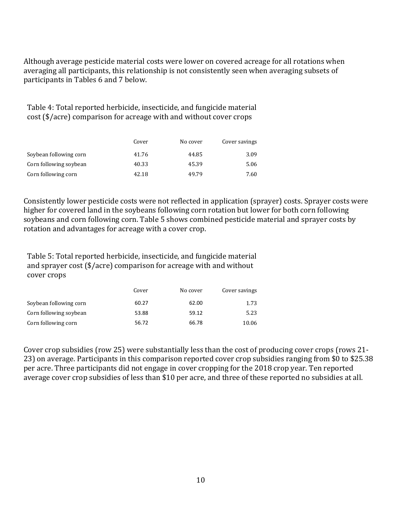Although average pesticide material costs were lower on covered acreage for all rotations when averaging all participants, this relationship is not consistently seen when averaging subsets of participants in Tables 6 and 7 below.

Table 4: Total reported herbicide, insecticide, and fungicide material cost (\$/acre) comparison for acreage with and without cover crops

|                        | Cover | No cover | Cover savings |
|------------------------|-------|----------|---------------|
| Soybean following corn | 41.76 | 44.85    | 3.09          |
| Corn following soybean | 40.33 | 45.39    | 5.06          |
| Corn following corn    | 42.18 | 49.79    | 7.60          |

Consistently lower pesticide costs were not reflected in application (sprayer) costs. Sprayer costs were higher for covered land in the soybeans following corn rotation but lower for both corn following soybeans and corn following corn. Table 5 shows combined pesticide material and sprayer costs by rotation and advantages for acreage with a cover crop.

Table 5: Total reported herbicide, insecticide, and fungicide material and sprayer cost (\$/acre) comparison for acreage with and without cover crops

|                        | Cover | No cover | Cover savings |
|------------------------|-------|----------|---------------|
| Soybean following corn | 60.27 | 62.00    | 1.73          |
| Corn following soybean | 53.88 | 59.12    | 5.23          |
| Corn following corn    | 56.72 | 66.78    | 10.06         |

Cover crop subsidies (row 25) were substantially less than the cost of producing cover crops (rows 21- 23) on average. Participants in this comparison reported cover crop subsidies ranging from \$0 to \$25.38 per acre. Three participants did not engage in cover cropping for the 2018 crop year. Ten reported average cover crop subsidies of less than \$10 per acre, and three of these reported no subsidies at all.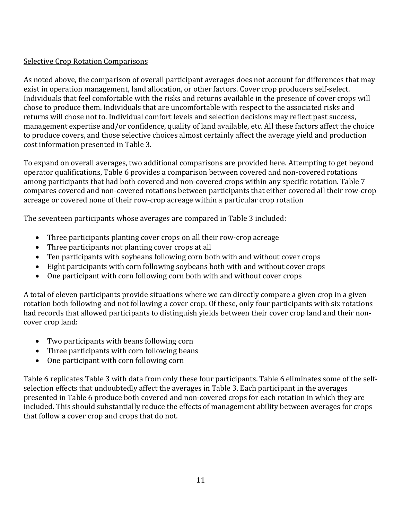#### Selective Crop Rotation Comparisons

As noted above, the comparison of overall participant averages does not account for differences that may exist in operation management, land allocation, or other factors. Cover crop producers self-select. Individuals that feel comfortable with the risks and returns available in the presence of cover crops will chose to produce them. Individuals that are uncomfortable with respect to the associated risks and returns will chose not to. Individual comfort levels and selection decisions may reflect past success, management expertise and/or confidence, quality of land available, etc. All these factors affect the choice to produce covers, and those selective choices almost certainly affect the average yield and production cost information presented in Table 3.

To expand on overall averages, two additional comparisons are provided here. Attempting to get beyond operator qualifications, Table 6 provides a comparison between covered and non-covered rotations among participants that had both covered and non-covered crops within any specific rotation. Table 7 compares covered and non-covered rotations between participants that either covered all their row-crop acreage or covered none of their row-crop acreage within a particular crop rotation

The seventeen participants whose averages are compared in Table 3 included:

- Three participants planting cover crops on all their row-crop acreage
- Three participants not planting cover crops at all
- Ten participants with soybeans following corn both with and without cover crops
- Eight participants with corn following soybeans both with and without cover crops
- One participant with corn following corn both with and without cover crops

A total of eleven participants provide situations where we can directly compare a given crop in a given rotation both following and not following a cover crop. Of these, only four participants with six rotations had records that allowed participants to distinguish yields between their cover crop land and their noncover crop land:

- Two participants with beans following corn
- Three participants with corn following beans
- One participant with corn following corn

Table 6 replicates Table 3 with data from only these four participants. Table 6 eliminates some of the selfselection effects that undoubtedly affect the averages in Table 3. Each participant in the averages presented in Table 6 produce both covered and non-covered crops for each rotation in which they are included. This should substantially reduce the effects of management ability between averages for crops that follow a cover crop and crops that do not.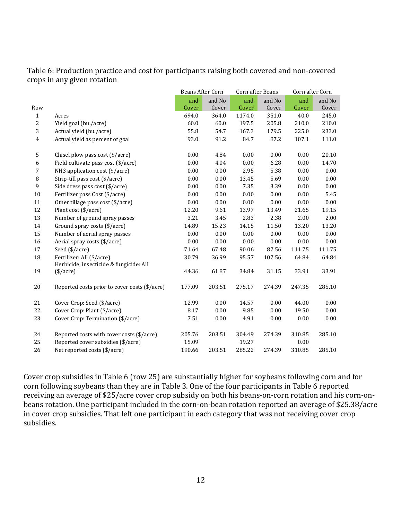Table 6: Production practice and cost for participants raising both covered and non-covered crops in any given rotation

|                  |                                                                      | Beans After Corn |                 | Corn after Beans |                 | Corn after Corn |                 |
|------------------|----------------------------------------------------------------------|------------------|-----------------|------------------|-----------------|-----------------|-----------------|
| Row              |                                                                      | and<br>Cover     | and No<br>Cover | and<br>Cover     | and No<br>Cover | and<br>Cover    | and No<br>Cover |
| $\mathbf{1}$     | Acres                                                                | 694.0            | 364.0           | 1174.0           | 351.0           | 40.0            | 245.0           |
| 2                | Yield goal (bu./acre)                                                | 60.0             | 60.0            | 197.5            | 205.8           | 210.0           | 210.0           |
| 3                | Actual yield (bu./acre)                                              | 55.8             | 54.7            | 167.3            | 179.5           | 225.0           | 233.0           |
| $\overline{4}$   | Actual yield as percent of goal                                      | 93.0             | 91.2            | 84.7             | 87.2            | 107.1           | 111.0           |
| $\mathsf S$      | Chisel plow pass cost (\$/acre)                                      | 0.00             | 4.84            | 0.00             | 0.00            | 0.00            | 20.10           |
| $\boldsymbol{6}$ | Field cultivate pass cost (\$/acre)                                  | 0.00             | 4.04            | 0.00             | 6.28            | 0.00            | 14.70           |
| $7\overline{ }$  | NH3 application cost (\$/acre)                                       | 0.00             | 0.00            | 2.95             | 5.38            | 0.00            | 0.00            |
| 8                | Strip-till pass cost (\$/acre)                                       | 0.00             | 0.00            | 13.45            | 5.69            | 0.00            | 0.00            |
| 9                | Side dress pass cost (\$/acre)                                       | 0.00             | 0.00            | 7.35             | 3.39            | 0.00            | 0.00            |
| 10               | Fertilizer pass Cost (\$/acre)                                       | 0.00             | 0.00            | 0.00             | 0.00            | 0.00            | 5.45            |
| 11               | Other tillage pass cost (\$/acre)                                    | 0.00             | 0.00            | 0.00             | 0.00            | 0.00            | 0.00            |
| 12               | Plant cost (\$/acre)                                                 | 12.20            | 9.61            | 13.97            | 13.49           | 21.65           | 19.15           |
| 13               | Number of ground spray passes                                        | 3.21             | 3.45            | 2.83             | 2.38            | 2.00            | 2.00            |
| 14               | Ground spray costs (\$/acre)                                         | 14.89            | 15.23           | 14.15            | 11.50           | 13.20           | 13.20           |
| 15               | Number of aerial spray passes                                        | 0.00             | 0.00            | 0.00             | 0.00            | 0.00            | 0.00            |
| 16               | Aerial spray costs (\$/acre)                                         | 0.00             | 0.00            | 0.00             | 0.00            | 0.00            | 0.00            |
| 17               | Seed (\$/acre)                                                       | 71.64            | 67.48           | 90.06            | 87.56           | 111.75          | 111.75          |
| 18               | Fertilizer: All (\$/acre)<br>Herbicide, insecticide & fungicide: All | 30.79            | 36.99           | 95.57            | 107.56          | 64.84           | 64.84           |
| 19               | $(\frac{$}{\sqrt{3}})$                                               | 44.36            | 61.87           | 34.84            | 31.15           | 33.91           | 33.91           |
| 20               | Reported costs prior to cover costs (\$/acre)                        | 177.09           | 203.51          | 275.17           | 274.39          | 247.35          | 285.10          |
| 21               | Cover Crop: Seed (\$/acre)                                           | 12.99            | 0.00            | 14.57            | 0.00            | 44.00           | 0.00            |
| 22               | Cover Crop: Plant (\$/acre)                                          | 8.17             | 0.00            | 9.85             | 0.00            | 19.50           | 0.00            |
| 23               | Cover Crop: Termination (\$/acre)                                    | 7.51             | 0.00            | 4.91             | 0.00            | 0.00            | 0.00            |
| 24               | Reported costs with cover costs (\$/acre)                            | 205.76           | 203.51          | 304.49           | 274.39          | 310.85          | 285.10          |
| 25               | Reported cover subsidies (\$/acre)                                   | 15.09            |                 | 19.27            |                 | 0.00            |                 |
| 26               | Net reported costs (\$/acre)                                         | 190.66           | 203.51          | 285.22           | 274.39          | 310.85          | 285.10          |

Cover crop subsidies in Table 6 (row 25) are substantially higher for soybeans following corn and for corn following soybeans than they are in Table 3. One of the four participants in Table 6 reported receiving an average of \$25/acre cover crop subsidy on both his beans-on-corn rotation and his corn-onbeans rotation. One participant included in the corn-on-bean rotation reported an average of \$25.38/acre in cover crop subsidies. That left one participant in each category that was not receiving cover crop subsidies.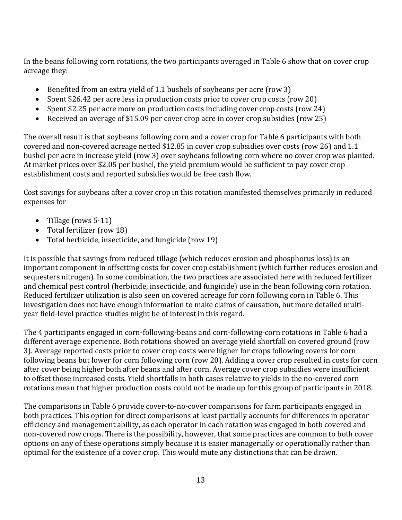In the beans following corn rotations, the two participants averaged in Table 6 show that on cover crop acreage they:

- Benefited from an extra yield of 1.1 bushels of soybeans per acre (row 3)
- Spent \$26.42 per acre less in production costs prior to cover crop costs (row 20)
- Spent \$2.25 per acre more on production costs including cover crop costs (row 24)
- Received an average of \$15.09 per cover crop acre in cover crop subsidies (row 25)

The overall result is that soybeans following corn and a cover crop for Table 6 participants with both covered and non-covered acreage netted \$12.85 in cover crop subsidies over costs (row 26) and 1.1 bushel per acre in increase yield (row 3) over soybeans following corn where no cover crop was planted. At market prices over \$2.05 per bushel, the yield premium would be sufficient to pay cover crop establishment costs and reported subsidies would be free cash flow.

Cost savings for soybeans after a cover crop in this rotation manifested themselves primarily in reduced expenses for

- Tillage (rows 5-11)
- Total fertilizer (row 18)
- Total herbicide, insecticide, and fungicide (row 19)

It is possible that savings from reduced tillage (which reduces erosion and phosphorus loss) is an important component in offsetting costs for cover crop establishment (which further reduces erosion and sequesters nitrogen). In some combination, the two practices are associated here with reduced fertilizer and chemical pest control (herbicide, insecticide, and fungicide) use in the bean following corn rotation. Reduced fertilizer utilization is also seen on covered acreage for corn following corn in Table 6. This investigation does not have enough information to make claims of causation, but more detailed multiyear field-level practice studies might be of interest in this regard.

The 4 participants engaged in corn-following-beans and corn-following-corn rotations in Table 6 had a different average experience. Both rotations showed an average yield shortfall on covered ground (row 3). Average reported costs prior to cover crop costs were higher for crops following covers for corn following beans but lower for corn following corn (row 20). Adding a cover crop resulted in costs for corn after cover being higher both after beans and after corn. Average cover crop subsidies were insufficient to offset those increased costs. Yield shortfalls in both cases relative to yields in the no-covered corn rotations mean that higher production costs could not be made up for this group of participants in 2018.

The comparisons in Table 6 provide cover-to-no-cover comparisons for farm participants engaged in both practices. This option for direct comparisons at least partially accounts for differences in operator efficiency and management ability, as each operator in each rotation was engaged in both covered and non-covered row crops. There is the possibility, however, that some practices are common to both cover options on any of these operations simply because it is easier managerially or operationally rather than optimal for the existence of a cover crop. This would mute any distinctions that can be drawn.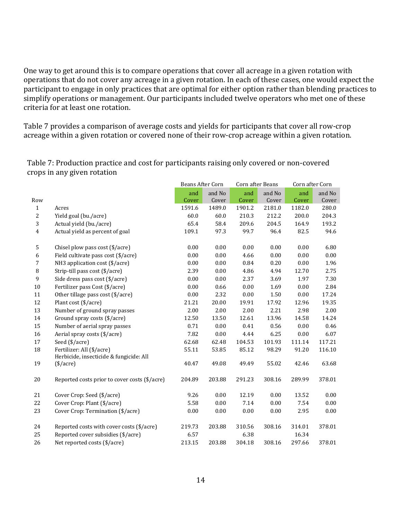One way to get around this is to compare operations that cover all acreage in a given rotation with operations that do not cover any acreage in a given rotation. In each of these cases, one would expect the participant to engage in only practices that are optimal for either option rather than blending practices to simplify operations or management. Our participants included twelve operators who met one of these criteria for at least one rotation.

Table 7 provides a comparison of average costs and yields for participants that cover all row-crop acreage within a given rotation or covered none of their row-crop acreage within a given rotation.

Table 7: Production practice and cost for participants raising only covered or non-covered crops in any given rotation

|                |                                                                      | Beans After Corn |        | Corn after Beans |        | Corn after Corn |        |
|----------------|----------------------------------------------------------------------|------------------|--------|------------------|--------|-----------------|--------|
|                |                                                                      | and              | and No | and              | and No | and             | and No |
| Row            |                                                                      | Cover            | Cover  | Cover            | Cover  | Cover           | Cover  |
| $\mathbf{1}$   | Acres                                                                | 1591.6           | 1489.0 | 1901.2           | 2181.0 | 1182.0          | 280.0  |
| 2              | Yield goal (bu./acre)                                                | 60.0             | 60.0   | 210.3            | 212.2  | 200.0           | 204.3  |
| 3              | Actual yield (bu./acre)                                              | 65.4             | 58.4   | 209.6            | 204.5  | 164.9           | 193.2  |
| $\overline{4}$ | Actual yield as percent of goal                                      | 109.1            | 97.3   | 99.7             | 96.4   | 82.5            | 94.6   |
| 5              | Chisel plow pass cost (\$/acre)                                      | 0.00             | 0.00   | 0.00             | 0.00   | 0.00            | 6.80   |
| 6              | Field cultivate pass cost (\$/acre)                                  | 0.00             | 0.00   | 4.66             | 0.00   | 0.00            | 0.00   |
| 7              | NH3 application cost (\$/acre)                                       | 0.00             | 0.00   | 0.84             | 0.20   | 0.00            | 1.96   |
| 8              | Strip-till pass cost (\$/acre)                                       | 2.39             | 0.00   | 4.86             | 4.94   | 12.70           | 2.75   |
| 9              | Side dress pass cost (\$/acre)                                       | 0.00             | 0.00   | 2.37             | 3.69   | 1.97            | 7.30   |
| 10             | Fertilizer pass Cost (\$/acre)                                       | 0.00             | 0.66   | 0.00             | 1.69   | 0.00            | 2.84   |
| 11             | Other tillage pass cost (\$/acre)                                    | 0.00             | 2.32   | 0.00             | 1.50   | 0.00            | 17.24  |
| 12             | Plant cost (\$/acre)                                                 | 21.21            | 20.00  | 19.91            | 17.92  | 12.96           | 19.35  |
| 13             | Number of ground spray passes                                        | 2.00             | 2.00   | 2.00             | 2.21   | 2.98            | 2.00   |
| 14             | Ground spray costs (\$/acre)                                         | 12.50            | 13.50  | 12.61            | 13.96  | 14.58           | 14.24  |
| 15             | Number of aerial spray passes                                        | 0.71             | 0.00   | 0.41             | 0.56   | 0.00            | 0.46   |
| 16             | Aerial spray costs (\$/acre)                                         | 7.82             | 0.00   | 4.44             | 6.25   | 0.00            | 6.07   |
| 17             | Seed (\$/acre)                                                       | 62.68            | 62.48  | 104.53           | 101.93 | 111.14          | 117.21 |
| 18             | Fertilizer: All (\$/acre)<br>Herbicide, insecticide & fungicide: All | 55.11            | 53.85  | 85.12            | 98.29  | 91.20           | 116.10 |
| 19             | $(\$/acre)$                                                          | 40.47            | 49.08  | 49.49            | 55.02  | 42.46           | 63.68  |
| 20             | Reported costs prior to cover costs (\$/acre)                        | 204.89           | 203.88 | 291.23           | 308.16 | 289.99          | 378.01 |
| 21             | Cover Crop: Seed (\$/acre)                                           | 9.26             | 0.00   | 12.19            | 0.00   | 13.52           | 0.00   |
| 22             | Cover Crop: Plant (\$/acre)                                          | 5.58             | 0.00   | 7.14             | 0.00   | 7.54            | 0.00   |
| 23             | Cover Crop: Termination (\$/acre)                                    | 0.00             | 0.00   | 0.00             | 0.00   | 2.95            | 0.00   |
| 24             | Reported costs with cover costs (\$/acre)                            | 219.73           | 203.88 | 310.56           | 308.16 | 314.01          | 378.01 |
| 25             | Reported cover subsidies (\$/acre)                                   | 6.57             |        | 6.38             |        | 16.34           |        |
| 26             | Net reported costs (\$/acre)                                         | 213.15           | 203.88 | 304.18           | 308.16 | 297.66          | 378.01 |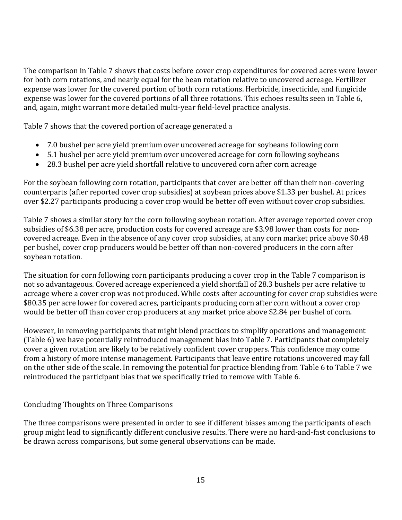The comparison in Table 7 shows that costs before cover crop expenditures for covered acres were lower for both corn rotations, and nearly equal for the bean rotation relative to uncovered acreage. Fertilizer expense was lower for the covered portion of both corn rotations. Herbicide, insecticide, and fungicide expense was lower for the covered portions of all three rotations. This echoes results seen in Table 6, and, again, might warrant more detailed multi-year field-level practice analysis.

Table 7 shows that the covered portion of acreage generated a

- 7.0 bushel per acre yield premium over uncovered acreage for soybeans following corn
- 5.1 bushel per acre yield premium over uncovered acreage for corn following soybeans
- 28.3 bushel per acre yield shortfall relative to uncovered corn after corn acreage

For the soybean following corn rotation, participants that cover are better off than their non-covering counterparts (after reported cover crop subsidies) at soybean prices above \$1.33 per bushel. At prices over \$2.27 participants producing a cover crop would be better off even without cover crop subsidies.

Table 7 shows a similar story for the corn following soybean rotation. After average reported cover crop subsidies of \$6.38 per acre, production costs for covered acreage are \$3.98 lower than costs for noncovered acreage. Even in the absence of any cover crop subsidies, at any corn market price above \$0.48 per bushel, cover crop producers would be better off than non-covered producers in the corn after soybean rotation.

The situation for corn following corn participants producing a cover crop in the Table 7 comparison is not so advantageous. Covered acreage experienced a yield shortfall of 28.3 bushels per acre relative to acreage where a cover crop was not produced. While costs after accounting for cover crop subsidies were \$80.35 per acre lower for covered acres, participants producing corn after corn without a cover crop would be better off than cover crop producers at any market price above \$2.84 per bushel of corn.

However, in removing participants that might blend practices to simplify operations and management (Table 6) we have potentially reintroduced management bias into Table 7. Participants that completely cover a given rotation are likely to be relatively confident cover croppers. This confidence may come from a history of more intense management. Participants that leave entire rotations uncovered may fall on the other side of the scale. In removing the potential for practice blending from Table 6 to Table 7 we reintroduced the participant bias that we specifically tried to remove with Table 6.

#### Concluding Thoughts on Three Comparisons

The three comparisons were presented in order to see if different biases among the participants of each group might lead to significantly different conclusive results. There were no hard-and-fast conclusions to be drawn across comparisons, but some general observations can be made.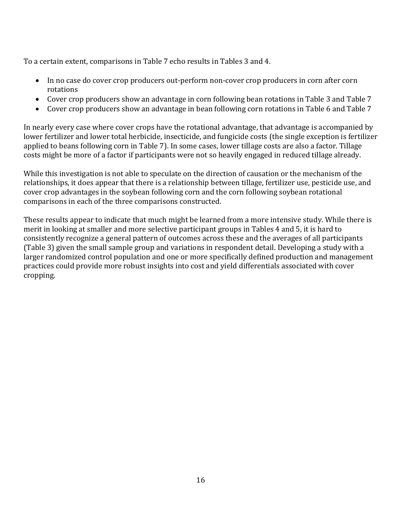To a certain extent, comparisons in Table 7 echo results in Tables 3 and 4.

- In no case do cover crop producers out-perform non-cover crop producers in corn after corn rotations
- Cover crop producers show an advantage in corn following bean rotations in Table 3 and Table 7
- Cover crop producers show an advantage in bean following corn rotations in Table 6 and Table 7

In nearly every case where cover crops have the rotational advantage, that advantage is accompanied by lower fertilizer and lower total herbicide, insecticide, and fungicide costs (the single exception is fertilizer applied to beans following corn in Table 7). In some cases, lower tillage costs are also a factor. Tillage costs might be more of a factor if participants were not so heavily engaged in reduced tillage already.

While this investigation is not able to speculate on the direction of causation or the mechanism of the relationships, it does appear that there is a relationship between tillage, fertilizer use, pesticide use, and cover crop advantages in the soybean following corn and the corn following soybean rotational comparisons in each of the three comparisons constructed.

These results appear to indicate that much might be learned from a more intensive study. While there is merit in looking at smaller and more selective participant groups in Tables 4 and 5, it is hard to consistently recognize a general pattern of outcomes across these and the averages of all participants (Table 3) given the small sample group and variations in respondent detail. Developing a study with a larger randomized control population and one or more specifically defined production and management practices could provide more robust insights into cost and yield differentials associated with cover cropping.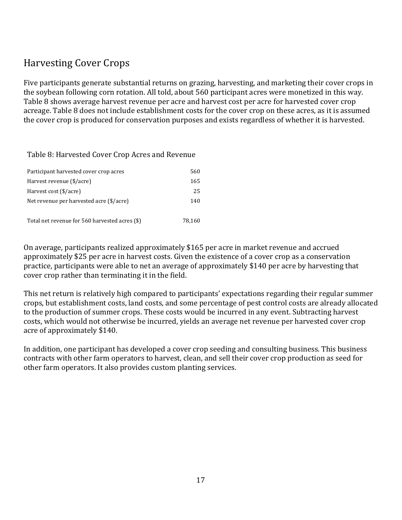# Harvesting Cover Crops

Five participants generate substantial returns on grazing, harvesting, and marketing their cover crops in the soybean following corn rotation. All told, about 560 participant acres were monetized in this way. Table 8 shows average harvest revenue per acre and harvest cost per acre for harvested cover crop acreage. Table 8 does not include establishment costs for the cover crop on these acres, as it is assumed the cover crop is produced for conservation purposes and exists regardless of whether it is harvested.

Table 8: Harvested Cover Crop Acres and Revenue

| Participant harvested cover crop acres         | 560    |
|------------------------------------------------|--------|
| Harvest revenue (\$/acre)                      | 165    |
| Harvest cost (\$/acre)                         | 25     |
| Net revenue per harvested acre (\$/acre)       | 140    |
|                                                |        |
| Total net revenue for 560 harvested acres (\$) | 78.160 |

On average, participants realized approximately \$165 per acre in market revenue and accrued approximately \$25 per acre in harvest costs. Given the existence of a cover crop as a conservation practice, participants were able to net an average of approximately \$140 per acre by harvesting that cover crop rather than terminating it in the field.

This net return is relatively high compared to participants' expectations regarding their regular summer crops, but establishment costs, land costs, and some percentage of pest control costs are already allocated to the production of summer crops. These costs would be incurred in any event. Subtracting harvest costs, which would not otherwise be incurred, yields an average net revenue per harvested cover crop acre of approximately \$140.

In addition, one participant has developed a cover crop seeding and consulting business. This business contracts with other farm operators to harvest, clean, and sell their cover crop production as seed for other farm operators. It also provides custom planting services.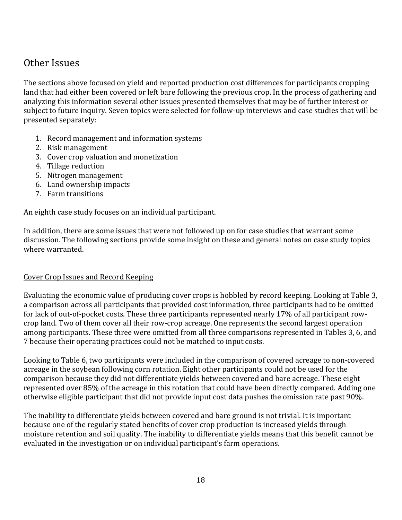### Other Issues

The sections above focused on yield and reported production cost differences for participants cropping land that had either been covered or left bare following the previous crop. In the process of gathering and analyzing this information several other issues presented themselves that may be of further interest or subject to future inquiry. Seven topics were selected for follow-up interviews and case studies that will be presented separately:

- 1. Record management and information systems
- 2. Risk management
- 3. Cover crop valuation and monetization
- 4. Tillage reduction
- 5. Nitrogen management
- 6. Land ownership impacts
- 7. Farm transitions

An eighth case study focuses on an individual participant.

In addition, there are some issues that were not followed up on for case studies that warrant some discussion. The following sections provide some insight on these and general notes on case study topics where warranted.

#### Cover Crop Issues and Record Keeping

Evaluating the economic value of producing cover crops is hobbled by record keeping. Looking at Table 3, a comparison across all participants that provided cost information, three participants had to be omitted for lack of out-of-pocket costs. These three participants represented nearly 17% of all participant rowcrop land. Two of them cover all their row-crop acreage. One represents the second largest operation among participants. These three were omitted from all three comparisons represented in Tables 3, 6, and 7 because their operating practices could not be matched to input costs.

Looking to Table 6, two participants were included in the comparison of covered acreage to non-covered acreage in the soybean following corn rotation. Eight other participants could not be used for the comparison because they did not differentiate yields between covered and bare acreage. These eight represented over 85% of the acreage in this rotation that could have been directly compared. Adding one otherwise eligible participant that did not provide input cost data pushes the omission rate past 90%.

The inability to differentiate yields between covered and bare ground is not trivial. It is important because one of the regularly stated benefits of cover crop production is increased yields through moisture retention and soil quality. The inability to differentiate yields means that this benefit cannot be evaluated in the investigation or on individual participant's farm operations.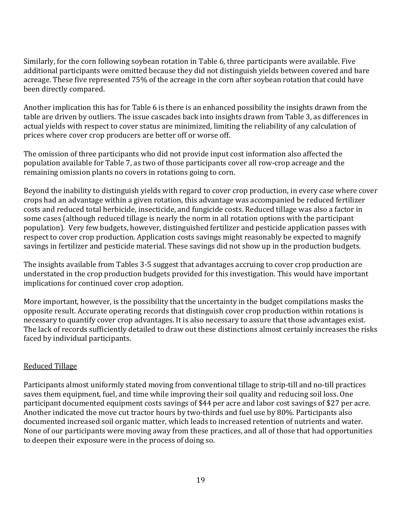Similarly, for the corn following soybean rotation in Table 6, three participants were available. Five additional participants were omitted because they did not distinguish yields between covered and bare acreage. These five represented 75% of the acreage in the corn after soybean rotation that could have been directly compared.

Another implication this has for Table 6 is there is an enhanced possibility the insights drawn from the table are driven by outliers. The issue cascades back into insights drawn from Table 3, as differences in actual yields with respect to cover status are minimized, limiting the reliability of any calculation of prices where cover crop producers are better off or worse off.

The omission of three participants who did not provide input cost information also affected the population available for Table 7, as two of those participants cover all row-crop acreage and the remaining omission plants no covers in rotations going to corn.

Beyond the inability to distinguish yields with regard to cover crop production, in every case where cover crops had an advantage within a given rotation, this advantage was accompanied be reduced fertilizer costs and reduced total herbicide, insecticide, and fungicide costs. Reduced tillage was also a factor in some cases (although reduced tillage is nearly the norm in all rotation options with the participant population). Very few budgets, however, distinguished fertilizer and pesticide application passes with respect to cover crop production. Application costs savings might reasonably be expected to magnify savings in fertilizer and pesticide material. These savings did not show up in the production budgets.

The insights available from Tables 3-5 suggest that advantages accruing to cover crop production are understated in the crop production budgets provided for this investigation. This would have important implications for continued cover crop adoption.

More important, however, is the possibility that the uncertainty in the budget compilations masks the opposite result. Accurate operating records that distinguish cover crop production within rotations is necessary to quantify cover crop advantages. It is also necessary to assure that those advantages exist. The lack of records sufficiently detailed to draw out these distinctions almost certainly increases the risks faced by individual participants.

#### Reduced Tillage

Participants almost uniformly stated moving from conventional tillage to strip-till and no-till practices saves them equipment, fuel, and time while improving their soil quality and reducing soil loss. One participant documented equipment costs savings of \$44 per acre and labor cost savings of \$27 per acre. Another indicated the move cut tractor hours by two-thirds and fuel use by 80%. Participants also documented increased soil organic matter, which leads to increased retention of nutrients and water. None of our participants were moving away from these practices, and all of those that had opportunities to deepen their exposure were in the process of doing so.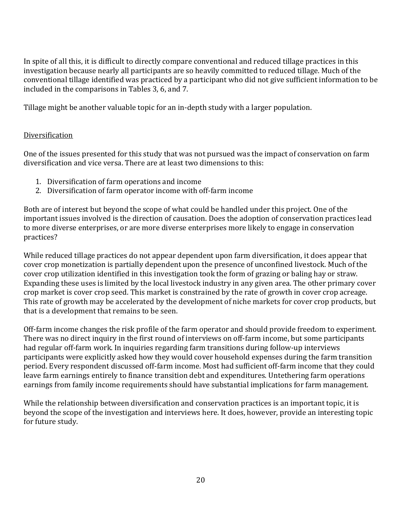In spite of all this, it is difficult to directly compare conventional and reduced tillage practices in this investigation because nearly all participants are so heavily committed to reduced tillage. Much of the conventional tillage identified was practiced by a participant who did not give sufficient information to be included in the comparisons in Tables 3, 6, and 7.

Tillage might be another valuable topic for an in-depth study with a larger population.

#### Diversification

One of the issues presented for this study that was not pursued was the impact of conservation on farm diversification and vice versa. There are at least two dimensions to this:

- 1. Diversification of farm operations and income
- 2. Diversification of farm operator income with off-farm income

Both are of interest but beyond the scope of what could be handled under this project. One of the important issues involved is the direction of causation. Does the adoption of conservation practices lead to more diverse enterprises, or are more diverse enterprises more likely to engage in conservation practices?

While reduced tillage practices do not appear dependent upon farm diversification, it does appear that cover crop monetization is partially dependent upon the presence of unconfined livestock. Much of the cover crop utilization identified in this investigation took the form of grazing or baling hay or straw. Expanding these uses is limited by the local livestock industry in any given area. The other primary cover crop market is cover crop seed. This market is constrained by the rate of growth in cover crop acreage. This rate of growth may be accelerated by the development of niche markets for cover crop products, but that is a development that remains to be seen.

Off-farm income changes the risk profile of the farm operator and should provide freedom to experiment. There was no direct inquiry in the first round of interviews on off-farm income, but some participants had regular off-farm work. In inquiries regarding farm transitions during follow-up interviews participants were explicitly asked how they would cover household expenses during the farm transition period. Every respondent discussed off-farm income. Most had sufficient off-farm income that they could leave farm earnings entirely to finance transition debt and expenditures. Untethering farm operations earnings from family income requirements should have substantial implications for farm management.

While the relationship between diversification and conservation practices is an important topic, it is beyond the scope of the investigation and interviews here. It does, however, provide an interesting topic for future study.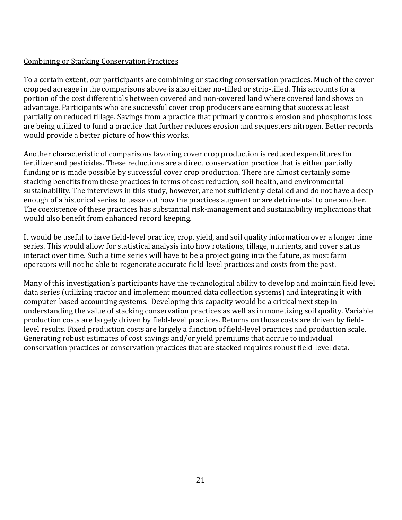#### Combining or Stacking Conservation Practices

To a certain extent, our participants are combining or stacking conservation practices. Much of the cover cropped acreage in the comparisons above is also either no-tilled or strip-tilled. This accounts for a portion of the cost differentials between covered and non-covered land where covered land shows an advantage. Participants who are successful cover crop producers are earning that success at least partially on reduced tillage. Savings from a practice that primarily controls erosion and phosphorus loss are being utilized to fund a practice that further reduces erosion and sequesters nitrogen. Better records would provide a better picture of how this works.

Another characteristic of comparisons favoring cover crop production is reduced expenditures for fertilizer and pesticides. These reductions are a direct conservation practice that is either partially funding or is made possible by successful cover crop production. There are almost certainly some stacking benefits from these practices in terms of cost reduction, soil health, and environmental sustainability. The interviews in this study, however, are not sufficiently detailed and do not have a deep enough of a historical series to tease out how the practices augment or are detrimental to one another. The coexistence of these practices has substantial risk-management and sustainability implications that would also benefit from enhanced record keeping.

It would be useful to have field-level practice, crop, yield, and soil quality information over a longer time series. This would allow for statistical analysis into how rotations, tillage, nutrients, and cover status interact over time. Such a time series will have to be a project going into the future, as most farm operators will not be able to regenerate accurate field-level practices and costs from the past.

Many of this investigation's participants have the technological ability to develop and maintain field level data series (utilizing tractor and implement mounted data collection systems) and integrating it with computer-based accounting systems. Developing this capacity would be a critical next step in understanding the value of stacking conservation practices as well as in monetizing soil quality. Variable production costs are largely driven by field-level practices. Returns on those costs are driven by fieldlevel results. Fixed production costs are largely a function of field-level practices and production scale. Generating robust estimates of cost savings and/or yield premiums that accrue to individual conservation practices or conservation practices that are stacked requires robust field-level data.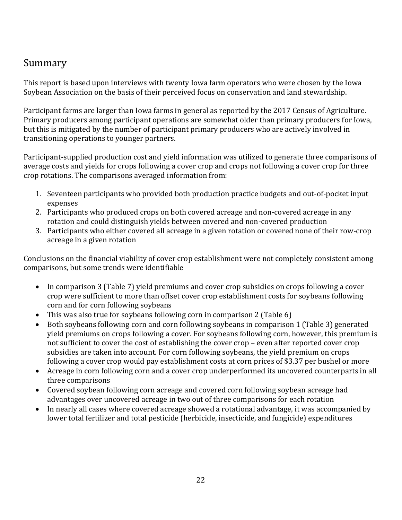# Summary

This report is based upon interviews with twenty Iowa farm operators who were chosen by the Iowa Soybean Association on the basis of their perceived focus on conservation and land stewardship.

Participant farms are larger than Iowa farms in general as reported by the 2017 Census of Agriculture. Primary producers among participant operations are somewhat older than primary producers for Iowa, but this is mitigated by the number of participant primary producers who are actively involved in transitioning operations to younger partners.

Participant-supplied production cost and yield information was utilized to generate three comparisons of average costs and yields for crops following a cover crop and crops not following a cover crop for three crop rotations. The comparisons averaged information from:

- 1. Seventeen participants who provided both production practice budgets and out-of-pocket input expenses
- 2. Participants who produced crops on both covered acreage and non-covered acreage in any rotation and could distinguish yields between covered and non-covered production
- 3. Participants who either covered all acreage in a given rotation or covered none of their row-crop acreage in a given rotation

Conclusions on the financial viability of cover crop establishment were not completely consistent among comparisons, but some trends were identifiable

- In comparison 3 (Table 7) yield premiums and cover crop subsidies on crops following a cover crop were sufficient to more than offset cover crop establishment costs for soybeans following corn and for corn following soybeans
- This was also true for soybeans following corn in comparison 2 (Table 6)
- Both soybeans following corn and corn following soybeans in comparison 1 (Table 3) generated yield premiums on crops following a cover. For soybeans following corn, however, this premium is not sufficient to cover the cost of establishing the cover crop – even after reported cover crop subsidies are taken into account. For corn following soybeans, the yield premium on crops following a cover crop would pay establishment costs at corn prices of \$3.37 per bushel or more
- Acreage in corn following corn and a cover crop underperformed its uncovered counterparts in all three comparisons
- Covered soybean following corn acreage and covered corn following soybean acreage had advantages over uncovered acreage in two out of three comparisons for each rotation
- In nearly all cases where covered acreage showed a rotational advantage, it was accompanied by lower total fertilizer and total pesticide (herbicide, insecticide, and fungicide) expenditures